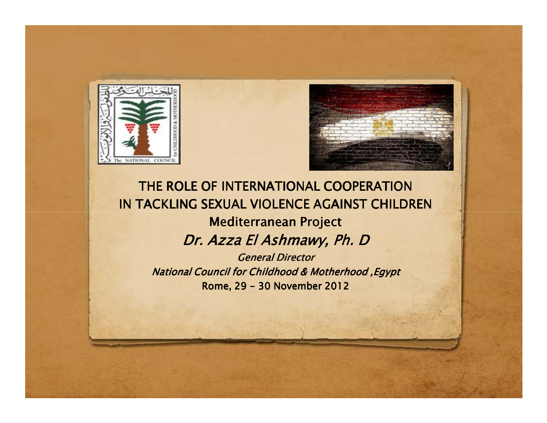



## *THE ROLE OF INTERNATIONAL COOPERATION IN TACKLING SEXUAL VIOLENCE AGAINST CHILDRENMediterranean ProjectDr. Azza Dr. El Ashmawy Ashmawy, Ashmawy, Ph. D General Director*

*National Council for Childhood & Motherhood ,EgyptRome, 29 - 30 November 2012*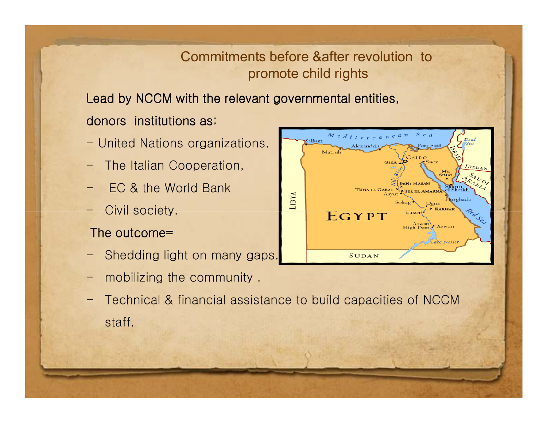### Commitments before &after revolution topromote child rights

Lead by NCCM with the relevant governmental entities,

### donors  $\,$  institutions as;  $\,$

- United Nations organizations.
- -The Italian Cooperation,
- -EC & the World Bank
- -Civil society.

### The outcome=

- -Shedding light on many gaps.
- mobilizing the community .
- - Technical & financial assistance to build capacities of NCCM staff.

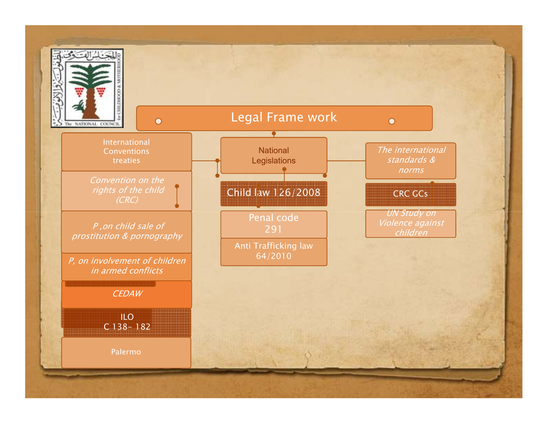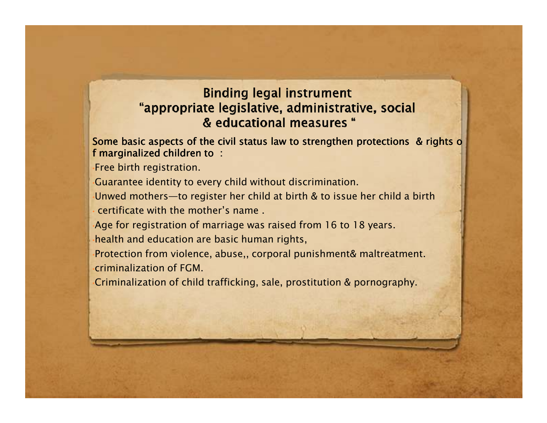### **Binding legal instrument** "appropriate legislative, administrative, social & educational measures "

#### Some basic aspects of the civil status law to strengthen protections & rights of *<sup>f</sup> marginalized <sup>f</sup> children children to :*

•*Free birth registration.*

•*Guarantee identity to every child without discrimination.*

Unwed mothers-to register her child at birth & to issue her child a birth *certificate with the mother's name .*

Age for registration of marriage was raised from 16 to 18 years.

•*health and education are basic human rights,*

•*Protection from violence, abuse,, corporal punishment& maltreatment.* •*criminalization of FGM.*

•*Criminalization of child trafficking, sale, prostitution & pornography.*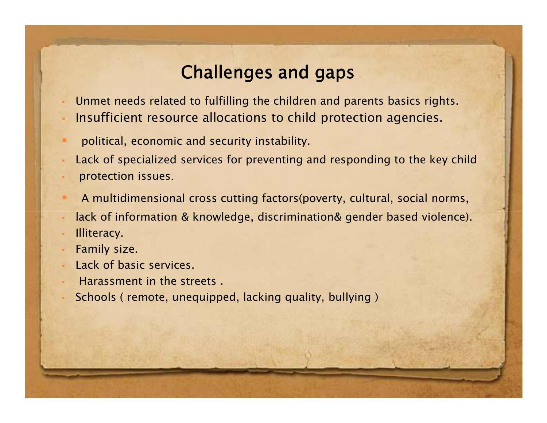# *Challenges and gaps*

- *Unmet needs related to fulfilling the children and parents basics rights.*
- *Insufficient resource allocations to child protection agencies.*
- *political, economic and security instability.*
- Lack of specialized services for preventing and responding to the key child
- *protection issues*.
- *A multidimensional cross cutting factors(poverty, cultural, social norms,*
- *lack of information & knowledge, discrimination& gender based violence).*
- *Illiteracy.*
- *Family size.*
- *Lack of basic services.*
- *Harassment in the streets .*
- *Schools ( remote, unequipped, lacking quality, bullying )*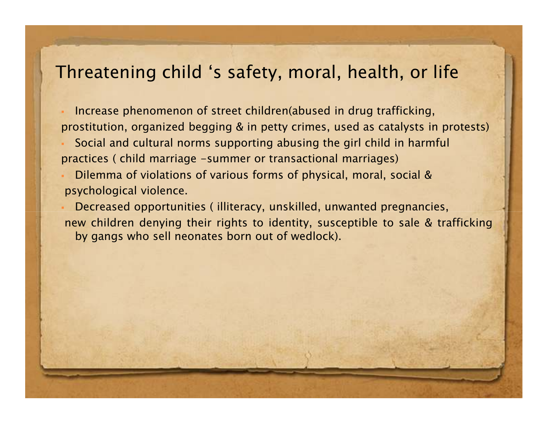# *Threatening child 's safety, moral, health, or life*

 *Increase phenomenon of street children(abused in drug trafficking,* prostitution, organized begging & in petty crimes, used as catalysts in protests)

 *Social and cultural norms supporting abusing the girl child in harmful practices ( child marriage -summer or transactional marriages)*

 *Dilemma of violations of various forms of physical, moral, social & psychological violence.*

 *Decreased opportunities ( illiteracy, unskilled, unwanted pregnancies,* new children denying their rights to identity, susceptible to sale & trafficking *by gangs who sell neonates born out of wedlock).*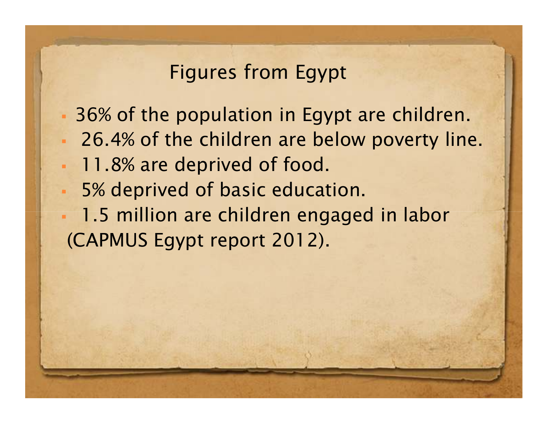# *Figures from Egypt*

 *36% of the population in Egypt are children. 26.4% of the children are below poverty line. 11.8% are deprived of food. 5% deprived of basic education. 1.5 million are children engaged in labor(CAPMUS Egypt report 2012).*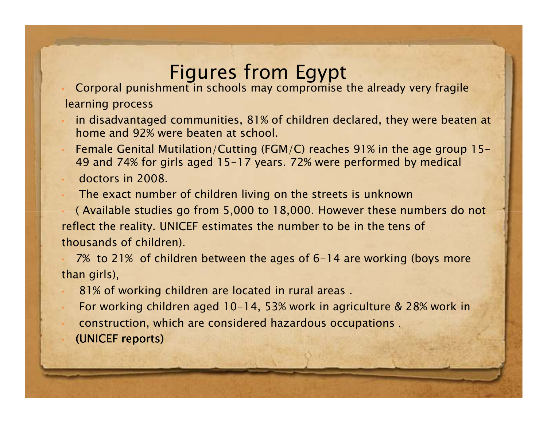# *Figures from Egypt*

 *Corporal punishment in schools may compromise the already very fragile learning process*

- *in disadvantaged communities, 81% of children declared, they were beaten at home and 92% were beaten at school.*
- *Female Genital Mutilation/Cutting (FGM/C) reaches 91% in the age group 15-49 and 74% for girls aged 15-17 years. 72% were performed by medical*

*doctors in 2008*.

*The exact number of children living on the streets is unknown* 

 *( Available studies go from 5,000 to 18,000. However these numbers do not reflect the reality. UNICEF estimates the number to be in the tens of thousands of children).*

 *7% to 21% of children between the ages of 6-14 are working (boys morethan girls),*

- *81% of working children are located in rural areas .*
- *For working children aged 10-14, 53% work in agriculture & 28% work in construction, which are considered hazardous occupations* .*(UNICEF reports)*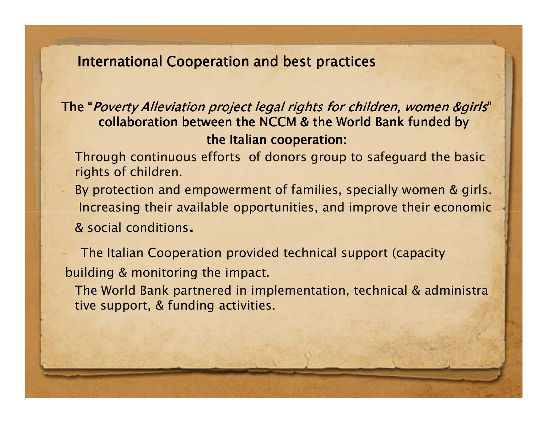*International Cooperation Cooperation and best practices practices*

### *The "Poverty Alleviation project legal rights for children, women &girls" collaboration between the NCCM & the World Bank funded by the Italian cooperation:*

- *Through continuous efforts of donors group to safeguard the basic rights of children.*
- *By protection and empowerment of families, specially women & girls. Increasing their available opportunities, and improve their economic & social conditions.*

 *The Italian Cooperation provided technical support (capacity building & monitoring the impact.*

 *The World Bank partnered in implementation, technical & administrative support, & funding activities.*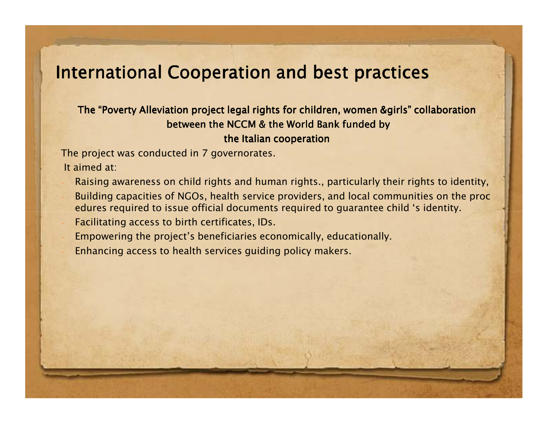## *International Cooperation and best practices*

### *The "Poverty Alleviation project legal rights for children, women &girls" collaborationbetween the NCCM & the World Bank funded by the Italian cooperation*

*The project was conducted in 7 governorates.*

*It aimed at:*

- *Raising awareness on child rights and human rights., particularly their rights to identity, Building capacities of NGOs, health service providers, and local communities on the procedures required to issue official documents required to guarantee child 's identity.*
- *Facilitating access to birth certificates, IDs.*
- *Empowering the project's beneficiaries economically, educationally.*
- *Enhancing access to health services guiding policy makers.*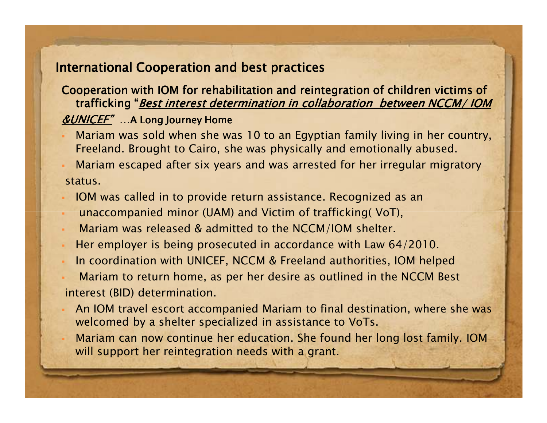### *International Cooperation and best practices*

### *Cooperation with IOM for rehabilitation and reintegration of children victims of trafficking "Best interest determination in collaboration between NCCM/ IOM&UNICEF"…A Long Journey Home*

- *Mariam was sold when she was 10 to an Egyptian family living in her country, Freeland. Brought to Cairo, she was physically and emotionally abused.*
- *Mariam escaped after six years and was arrested for her irregular migratorystatus.*
- *IOM was called in to provide return assistance. Recognized as an*
- *unaccompanied minor (UAM) and Victim of trafficking( VoT),*
- *Mariam was released & admitted to the NCCM/IOM shelter.*
- *Her employer is being prosecuted in accordance with Law 64/2010.*
- *In coordination with UNICEF, NCCM & Freeland authorities, IOM helped*
- *Mariam to return home, as per her desire as outlined in the NCCM Bestinterest (BID) determination.*
- *An IOM travel escort accompanied Mariam to final destination, where she was welcomed by a shelter specialized in assistance to VoTs.*
- *Mariam can now continue her education. She found her long lost family. IOM will support her reintegration needs with a grant.*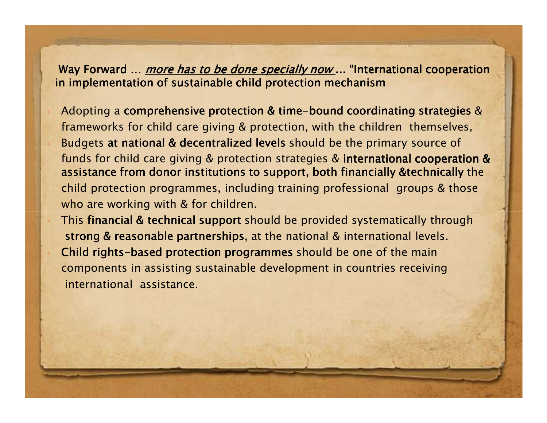*Way Forward … more has to be done specially now ... "International cooperation in implementation of sustainable child protection mechanism*

 *Adopting a comprehensive protection & time protection & timetime-bound coordinating strategies bound coordinating strategies strategies & frameworks for child care giving & protection, with the children themselves, Budgets at national & decentralized levels at national & decentralized levels at & decentralized levels should be the primary source of funds for child care giving & protection strategies & international cooperation & cooperation* assistance from donor institutions to support, both financially &technically the *child protection programmes, including training professional groups & those who are working with & for children.*

*This financial & technical support should be provided systematically through strong & reasonable partnerships, at the national & partnerships international levels. Child rights- Child rights-based protection programmes based protection programmes based should be one of the main components in assisting sustainable development in countries receivinginternational assistance.*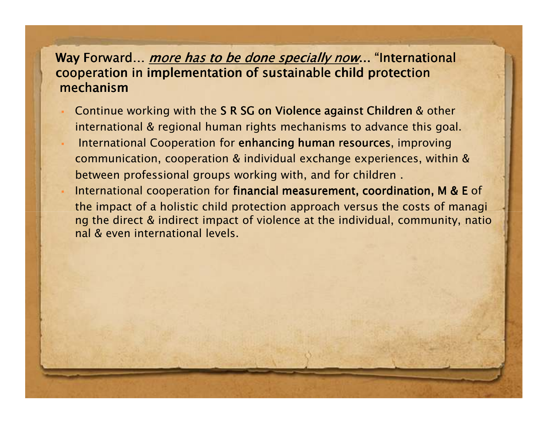### *Way Forward… more has to be done specially now... "International cooperation in implementation of sustainable child protectionmechanism*

- *Continue working with the S R SG on Violence agains R on against Children R against & other t Children international & regional human rights mechanisms to advance this goal.*
- *International Cooperation for enhancing human resources, improving images are and resources improving communication, cooperation & individual exchange experiences, within &between professional groups working with, and for children .*
- *International cooperation for financial measurement financial measurement, coordination, M & E financial measurement, coordination, M E of , coordination, M & the impact of a holistic child protection approach versus the costs of managi ng the direct & indirect impact of violence at the individual, community, national & even international levels.*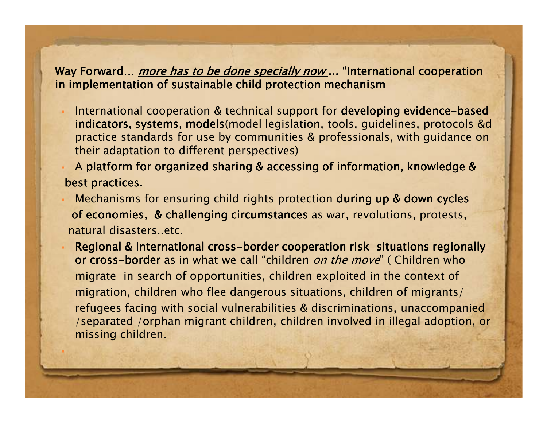### *Way Forward… more has to be done specially now ... "International cooperation in implementation of sustainable child protection mechanism*

- *International cooperation & technical support for developing evidence-based* **<b>***developing evidence-based indicators, systems, models(model legislation, tool models s, guidelines, protocols &d practice standards for use by communities & professionals, with guidance on their adaptation to different perspectives)*
- *A platform for organized sharing & accessing of inf organized sharing & accessing information, knowledge & mation, knowledge best practices.*
- *Mechanisms for ensuring child rights protection during up & down cycles ing up & cycles of economies, & challenging circumstances as war, revolutions, protests, natural disasters..etc.*
- **Regional & international cross-border cooperation risk situations regionally border cooperation risk regionally** *or cross- or cross-border as in what we call "children on the move" ( Children who migrate in search of opportunities, children exploited in the context ofmigration, children who flee dangerous situations, children of migrants/refugees facing with social vulnerabilities & discriminations, unaccompanied /separated /orphan migrant children, children involved in illegal adoption, or missing children.*